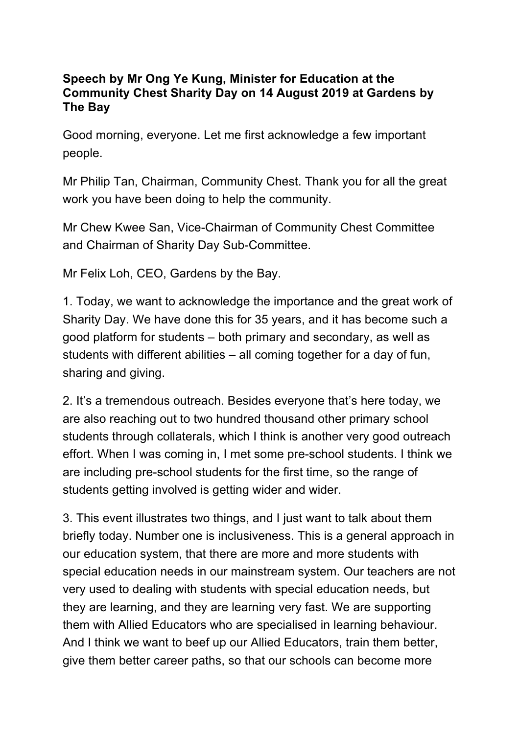## **Speech by Mr Ong Ye Kung, Minister for Education at the Community Chest Sharity Day on 14 August 2019 at Gardens by The Bay**

Good morning, everyone. Let me first acknowledge a few important people.

Mr Philip Tan, Chairman, Community Chest. Thank you for all the great work you have been doing to help the community.

Mr Chew Kwee San, Vice-Chairman of Community Chest Committee and Chairman of Sharity Day Sub-Committee.

Mr Felix Loh, CEO, Gardens by the Bay.

1. Today, we want to acknowledge the importance and the great work of Sharity Day. We have done this for 35 years, and it has become such a good platform for students – both primary and secondary, as well as students with different abilities – all coming together for a day of fun, sharing and giving.

2. It's a tremendous outreach. Besides everyone that's here today, we are also reaching out to two hundred thousand other primary school students through collaterals, which I think is another very good outreach effort. When I was coming in, I met some pre-school students. I think we are including pre-school students for the first time, so the range of students getting involved is getting wider and wider.

3. This event illustrates two things, and I just want to talk about them briefly today. Number one is inclusiveness. This is a general approach in our education system, that there are more and more students with special education needs in our mainstream system. Our teachers are not very used to dealing with students with special education needs, but they are learning, and they are learning very fast. We are supporting them with Allied Educators who are specialised in learning behaviour. And I think we want to beef up our Allied Educators, train them better, give them better career paths, so that our schools can become more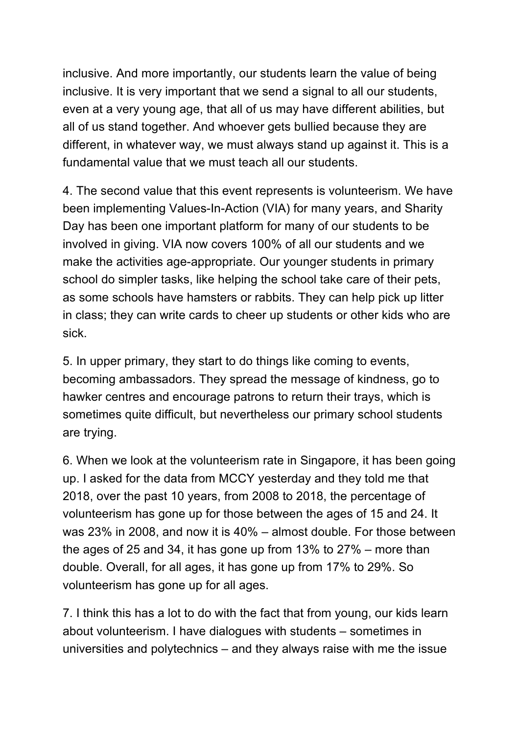inclusive. And more importantly, our students learn the value of being inclusive. It is very important that we send a signal to all our students, even at a very young age, that all of us may have different abilities, but all of us stand together. And whoever gets bullied because they are different, in whatever way, we must always stand up against it. This is a fundamental value that we must teach all our students.

4. The second value that this event represents is volunteerism. We have been implementing Values-In-Action (VIA) for many years, and Sharity Day has been one important platform for many of our students to be involved in giving. VIA now covers 100% of all our students and we make the activities age-appropriate. Our younger students in primary school do simpler tasks, like helping the school take care of their pets, as some schools have hamsters or rabbits. They can help pick up litter in class; they can write cards to cheer up students or other kids who are sick.

5. In upper primary, they start to do things like coming to events, becoming ambassadors. They spread the message of kindness, go to hawker centres and encourage patrons to return their trays, which is sometimes quite difficult, but nevertheless our primary school students are trying.

6. When we look at the volunteerism rate in Singapore, it has been going up. I asked for the data from MCCY yesterday and they told me that 2018, over the past 10 years, from 2008 to 2018, the percentage of volunteerism has gone up for those between the ages of 15 and 24. It was 23% in 2008, and now it is 40% – almost double. For those between the ages of 25 and 34, it has gone up from 13% to 27% – more than double. Overall, for all ages, it has gone up from 17% to 29%. So volunteerism has gone up for all ages.

7. I think this has a lot to do with the fact that from young, our kids learn about volunteerism. I have dialogues with students – sometimes in universities and polytechnics – and they always raise with me the issue